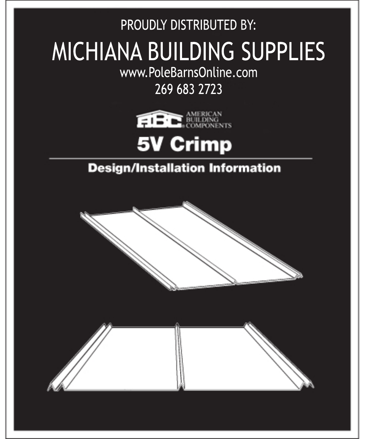PROUDLY DISTRIBUTED BY: **MICHIANA BUILDING SUPPLIES** www.PoleBarnsOnline.com

## 2696832723





## **Design/Installation Information**

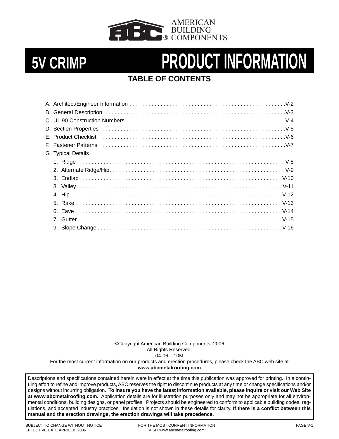

## **TABLE OF CONTENTS**

| G. Typical Details |  |
|--------------------|--|
|                    |  |
|                    |  |
|                    |  |
|                    |  |
|                    |  |
|                    |  |
|                    |  |
|                    |  |
|                    |  |
|                    |  |

©Copyright American Building Components, 2006 All Rights Reserved.  $04 - 06 - 10M$ For the most current information on our products and erection procedures, please check the ABC web site at **www.abcmetalroofing.com**

Descriptions and specifications contained herein were in effect at the time this publication was approved for printing. In a continuing effort to refine and improve products, ABC reserves the right to discontinue products at any time or change specifications and/or designs without incurring obligation. **To insure you have the latest information available, please inquire or visit our Web Site at www.abcmetalroofing.com.** Application details are for illustration purposes only and may not be appropriate for all environmental conditions, building designs, or panel profiles. Projects should be engineered to conform to applicable building codes, regulations, and accepted industry practices. Insulation is not shown in these details for clarity. **If there is a conflict between this manual and the erection drawings, the erection drawings will take precedence.**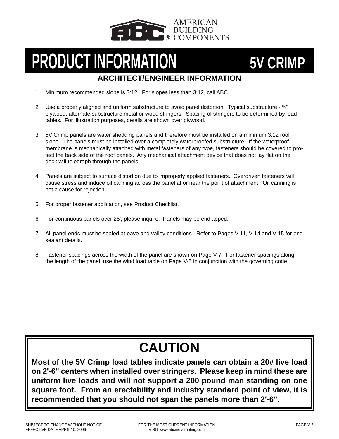

# **ARCHITECT/ENGINEER INFORMATION PRODUCT INFORMATION** 5V CRIMP

## 1. Minimum recommended slope is 3:12. For slopes less than 3:12, call ABC.

- 2. Use a properly aligned and uniform substructure to avoid panel distortion. Typical substructure 5%" plywood; alternate substructure metal or wood stringers. Spacing of stringers to be determined by load tables. For illustration purposes, details are shown over plywood.
- 3. 5V Crimp panels are water shedding panels and therefore must be installed on a minimum 3:12 roof slope. The panels must be installed over a completely waterproofed substructure. If the waterproof membrane is mechanically attached with metal fasteners of any type, fasteners should be covered to protect the back side of the roof panels. Any mechanical attachment device that does not lay flat on the deck will telegraph through the panels.
- 4. Panels are subject to surface distortion due to improperly applied fasteners. Overdriven fasteners will cause stress and induce oil canning across the panel at or near the point of attachment. Oil canning is not a cause for rejection.
- 5. For proper fastener application, see Product Checklist.
- 6. For continuous panels over 25', please inquire. Panels may be endlapped.
- 7. All panel ends must be sealed at eave and valley conditions. Refer to Pages V-11, V-14 and V-15 for end sealant details.
- 8. Fastener spacings across the width of the panel are shown on Page V-7. For fastener spacings along the length of the panel, use the wind load table on Page V-5 in conjunction with the governing code.

# **CAUTION**

**Most of the 5V Crimp load tables indicate panels can obtain a 20# live load on 2'-6" centers when installed over stringers. Please keep in mind these are uniform live loads and will not support a 200 pound man standing on one square foot. From an erectability and industry standard point of view, it is recommended that you should not span the panels more than 2'-6".**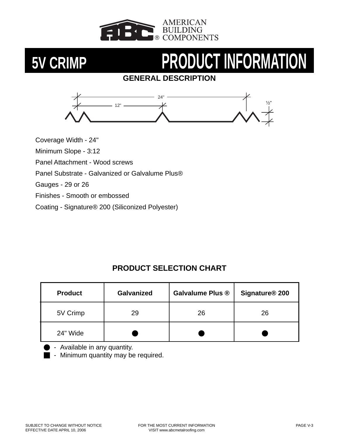

## **GENERAL DESCRIPTION**



Coverage Width - 24"

Minimum Slope - 3:12

Panel Attachment - Wood screws

Panel Substrate - Galvanized or Galvalume Plus®

Gauges - 29 or 26

Finishes - Smooth or embossed

Coating - Signature® 200 (Siliconized Polyester)

## **PRODUCT SELECTION CHART**

| <b>Product</b> | <b>Galvanized</b> | <b>Galvalume Plus ®</b> | Signature <sup>®</sup> 200 |  |  |
|----------------|-------------------|-------------------------|----------------------------|--|--|
| 5V Crimp       | 29                |                         | 26                         |  |  |
| 24" Wide       |                   |                         |                            |  |  |

- Available in any quantity.

**I** - Minimum quantity may be required.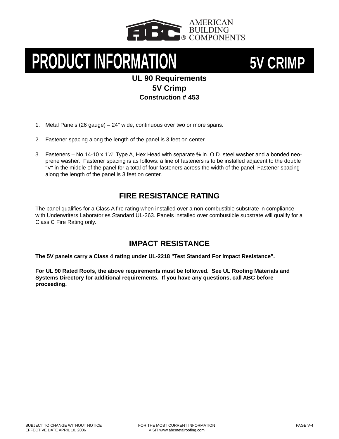



### **UL 90 Requirements 5V Crimp Construction # 453**

- 1. Metal Panels (26 gauge) 24" wide, continuous over two or more spans.
- 2. Fastener spacing along the length of the panel is 3 feet on center.
- 3. Fasteners No.14-10 x 1 $\frac{1}{2}$ " Type A, Hex Head with separate  $\frac{5}{6}$  in. O.D. steel washer and a bonded neoprene washer. Fastener spacing is as follows: a line of fasteners is to be installed adjacent to the double "V" in the middle of the panel for a total of four fasteners across the width of the panel. Fastener spacing along the length of the panel is 3 feet on center.

### **FIRE RESISTANCE RATING**

The panel qualifies for a Class A fire rating when installed over a non-combustible substrate in compliance with Underwriters Laboratories Standard UL-263. Panels installed over combustible substrate will qualify for a Class C Fire Rating only.

### **IMPACT RESISTANCE**

**The 5V panels carry a Class 4 rating under UL-2218 "Test Standard For Impact Resistance".**

**For UL 90 Rated Roofs, the above requirements must be followed. See UL Roofing Materials and Systems Directory for additional requirements. If you have any questions, call ABC before proceeding.**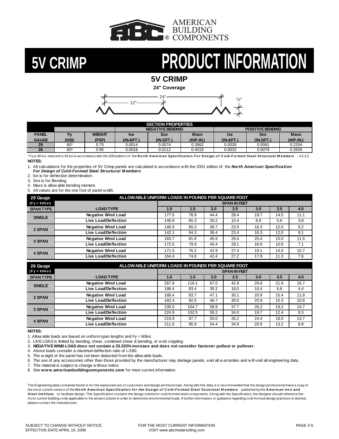

**5V CRIMP**

 $24^{\circ}$   $\longrightarrow$   $1/2^{\circ}$ **24" Coverage**



| <b>SECTION PROPERTIES</b>           |       |       |                  |            |             |            |                         |             |  |
|-------------------------------------|-------|-------|------------------|------------|-------------|------------|-------------------------|-------------|--|
|                                     |       |       | NEGATIVE BENDING |            |             |            | <b>POSITIVE BENDING</b> |             |  |
| <b>PANEL</b><br>WEIGHT<br><b>Ev</b> |       | lxe   | Sxe              | Maxo       | <b>Ixe</b>  | Sxe        | <b>Maxo</b>             |             |  |
| <b>GAUGE</b>                        | (KSI) | (PSF) | (IN.4/FT.)       | (IN.3/FT.) | $(KIP-IN.)$ | (IN.4/FT.) | (IN.3/FT.)              | $(KIP-IN.)$ |  |
| 29                                  | $60*$ | 0.75  | 0.0014           | 0.0074     | 0.2662      | 0.0028     | 0.0061                  | 0.2204      |  |
| 26                                  | $60*$ | 0.95  | 0.0018           | 0.0112     | 0.4018      | 0.0032     | 0.0079                  | 0.2826      |  |

\*Fyis 80 ksi reduced to 60 ksi in accordance with the 2001 edition of the *North American Specification For Design of Cold-Formed Steel Structural Members* - A2.3.2. **NOTES:**

1. All calculations for the properties of 5V Crimp panels are calculated in accordance w ith the 2001 edition of the *North American Specification For Design of Cold-Formed Steel Structural M embers*.

2. Ixe is for deflection determination.

3. Sxe is for Bending.

4. Maxo is allow able bending moment.

5. All values are for the one foot of panel w idth.

| 29 Gauge         | ALLOW ABLE UNIFORM LOADS IN POUNDS PER SQUARE FOOT |                     |      |      |      |      |      |      |  |
|------------------|----------------------------------------------------|---------------------|------|------|------|------|------|------|--|
| $(Fy = 60$ ksi)  |                                                    | <b>SPAN IN FEET</b> |      |      |      |      |      |      |  |
| <b>SPAN TYPE</b> | <b>LOAD TYPE</b>                                   | 1.0                 | 1.5  | 2.0  | 2.5  | 3.0  | 3.5  | 4.0  |  |
| <b>SINGLE</b>    | <b>Negative Wind Load</b>                          | 177.5               | 78.9 | 44.4 | 28.4 | 19.7 | 14.5 | 11.1 |  |
|                  | Live Load/Deflection                               | 146.9               | 65.3 | 30.2 | 15.4 | 8.9  | 5.6  | 3.8  |  |
| 2 SPAN           | <b>Negative Wind Load</b>                          | 146.9               | 65.3 | 36.7 | 23.5 | 16.3 | 12.0 | 9.2  |  |
|                  | Live Load/Deflection                               | 142.1               | 64.3 | 36.4 | 23.4 | 16.3 | 12.0 | 9.1  |  |
| 3 SPAN           | <b>Negative Wind Load</b>                          | 183.7               | 81.6 | 45.9 | 29.4 | 20.4 | 15.0 | 11.5 |  |
|                  | <b>Live Load/Deflection</b>                        | 172.5               | 79.9 | 45.4 | 29.1 | 16.9 | 10.6 | 7.1  |  |
| <b>4 SPAN</b>    | <b>Negative Wind Load</b>                          | 171.5               | 76.2 | 42.9 | 27.4 | 19.1 | 14.0 | 10.7 |  |
|                  | Live Load/Deflection                               | 164.4               | 74.8 | 42.4 | 27.2 | 17.9 | 11.3 | 7.6  |  |

| 26 Gauge         | ALLOW ABLE UNIFORM LOADS IN POUNDS PER SQUARE FOOT |                     |       |      |      |      |      |      |  |
|------------------|----------------------------------------------------|---------------------|-------|------|------|------|------|------|--|
| $(Fy = 60ksi)$   |                                                    | <b>SPAN IN FEET</b> |       |      |      |      |      |      |  |
| <b>SPAN TYPE</b> | <b>LOAD TYPE</b>                                   | 1.0                 | 1.5   | 2.0  | 2.5  | 3.0  | 3.5  | 4.0  |  |
| <b>SINGLE</b>    | <b>Negative Wind Load</b>                          | 267.9               | 119.1 | 67.0 | 42.9 | 29.8 | 21.9 | 16.7 |  |
|                  | Live Load/Deflection                               | 188.4               | 83.4  | 35.2 | 18.0 | 10.4 | 6.6  | 4.4  |  |
| 2 SPAN           | <b>Negative Wind Load</b>                          | 188.4               | 83.7  | 47.1 | 30.1 | 20.9 | 15.4 | 11.8 |  |
|                  | Live Load/Deflection                               | 182.4               | 82.5  | 46.7 | 30.0 | 20.9 | 15.3 | 10.6 |  |
| 3 SPAN           | <b>Negative Wind Load</b>                          | 235.5               | 104.7 | 58.9 | 37.7 | 26.2 | 19.2 | 14.7 |  |
|                  | Live Load/Deflection                               | 224.9               | 102.5 | 58.2 | 34.0 | 19.7 | 12.4 | 8.3  |  |
| <b>4 SPAN</b>    | <b>Negative Wind Load</b>                          | 219.9               | 97.7  | 55.0 | 35.2 | 24.4 | 18.0 | 13.7 |  |
|                  | <b>Live Load/Deflection</b>                        | 211.0               | 95.9  | 54.4 | 34.9 | 20.9 | 13.2 | 8.8  |  |

### **NOTES:**

1. Allow able loads are based on uniform span lengths and  $Fy = 60$ ksi.

2. LIVE LOAD is limited by bending, shear, combined shear & bending, or w eb crippling.

3. **NEGATIVE WIND LOAD does not contain a 33.333% increase and does not consider fastener pullout or pullover.**

4. Above loads consider a maximum deflection ratio of L/180.

5. The w eight of the panel has not been deducted from the allow able loads.

7. This material is subject to change w ithout notice.

8. See **www.americanbuildingcomponents.com** for most current information.

The Engineering data contained herein is for the expressed use of customers and design professionals. Along with this data, it is recommended that the design professional have a copy of the most current version of the *North American Specification for the Design of Cold-Formed Steel Structural M embers* published by the *American Iron and*  Steel Institute to facilitate design. This Specification contains the design criteria for cold-formed steel components. Along with the Specification, the designer should reference the most current building code applicable to the project jobsite in order to determine environmental loads. If further information or quidance regarding cold-formed design practices is desired, please contact the manufacturer.

<sup>6.</sup> The use of any accessories other than those provided by the manufacturer may damage panels, void all w arranties and w ill void all engineering data.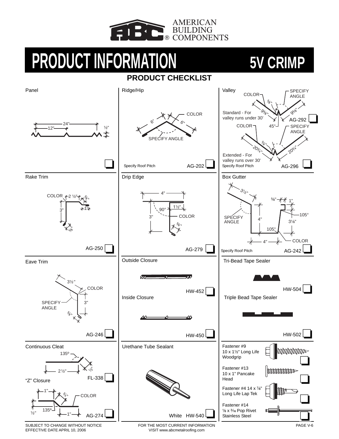

## **PRODUCT CHECKLIST**



SUBJECT TO CHANGE WITHOUT NOTICE EFFECTIVE DATE APRIL 10, 2006

FOR THE MOST CURRENT INFORMATION VISIT www.abcmetalroofing.com

PAGE V-6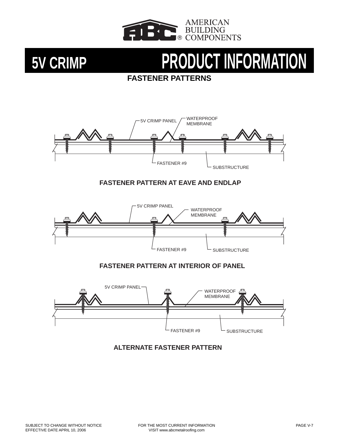

## **FASTENER PATTERNS**



### **FASTENER PATTERN AT EAVE AND ENDLAP**



### **FASTENER PATTERN AT INTERIOR OF PANEL**



### **ALTERNATE FASTENER PATTERN**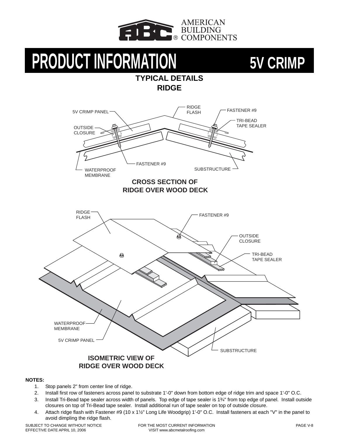

**TYPICAL DETAILS RIDGE**

# **PRODUCT INFORMATION** 5V CRIMP



- 1. Stop panels 2" from center line of ridge.
- 2. Install first row of fasteners across panel to substrate 1'-0" down from bottom edge of ridge trim and space 1'-0" O.C.
- 3. Install Tri-Bead tape sealer across width of panels. Top edge of tape sealer is 1<sup>3</sup>/<sub>4</sub>" from top edge of panel. Install outside closures on top of Tri-Bead tape sealer. Install additional run of tape sealer on top of outside closure.
- 4. Attach ridge flash with Fastener #9 (10 x 1½" Long Life Woodgrip) 1'-0" O.C. Install fasteners at each "V" in the panel to avoid dimpling the ridge flash.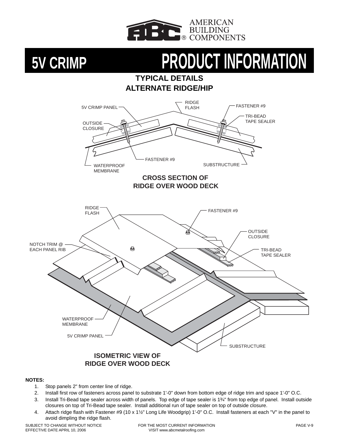

## **TYPICAL DETAILS ALTERNATE RIDGE/HIP**



- 1. Stop panels 2" from center line of ridge.
- 2. Install first row of fasteners across panel to substrate 1'-0" down from bottom edge of ridge trim and space 1'-0" O.C.
- 3. Install Tri-Bead tape sealer across width of panels. Top edge of tape sealer is 1<sup>3</sup>/<sub>4</sub>" from top edge of panel. Install outside closures on top of Tri-Bead tape sealer. Install additional run of tape sealer on top of outside closure.
- 4. Attach ridge flash with Fastener #9 (10 x 1½" Long Life Woodgrip) 1'-0" O.C. Install fasteners at each "V" in the panel to avoid dimpling the ridge flash.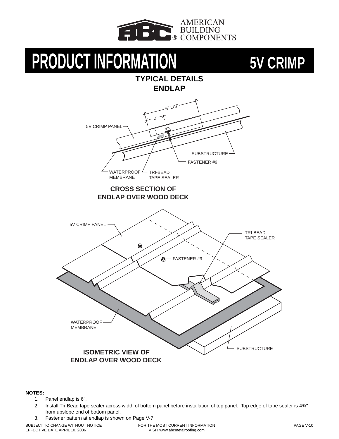

**TYPICAL DETAILS**

# **PRODUCT INFORMATION** 5V CRIMP

## **ENDLAP** 6" LAP 2" 5V CRIMP PANEL SUBSTRUCTURE FASTENER #9 **WATERPROOF** TRI-BEAD MEMBRANE TAPE SEALER  **CROSS SECTION OF ENDLAP OVER WOOD DECK**  5V CRIMP PANEL TRI-BEAD TAPE SEALER ❸ - FASTENER #9  $\mathbf{\Theta}$ **WATERPROOF** MEMBRANE **SUBSTRUCTURE ISOMETRIC VIEW OF ENDLAP OVER WOOD DECK**

### **NOTES:**

- 1. Panel endlap is 6".
- 2. Install Tri-Bead tape sealer across width of bottom panel before installation of top panel. Top edge of tape sealer is 43/4" from upslope end of bottom panel.
- 3. Fastener pattern at endlap is shown on Page V-7.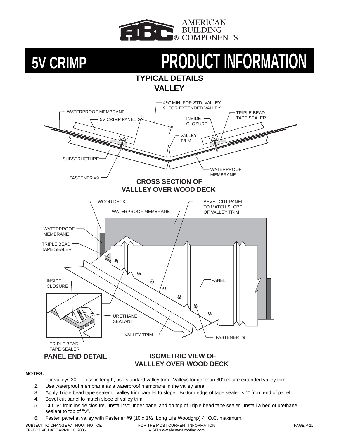

### **TYPICAL DETAILS VALLEY**



### **NOTES:**

- 1. For valleys 30' or less in length, use standard valley trim. Valleys longer than 30' require extended valley trim.
- 2. Use waterproof membrane as a waterproof membrane in the valley area.
- 3. Apply Triple bead tape sealer to valley trim parallel to slope. Bottom edge of tape sealer is 1" from end of panel.
- 4. Bevel cut panel to match slope of valley trim.
- 5. Cut "V" from inside closure. Install "V" under panel and on top of Triple bead tape sealer. Install a bed of urethane sealant to top of "V".
- 6. Fasten panel at valley with Fastener #9 (10 x 1 $1/2$ " Long Life Woodgrip) 4" O.C. maximum.

SUBJECT TO CHANGE WITHOUT NOTICE EFFECTIVE DATE APRIL 10, 2006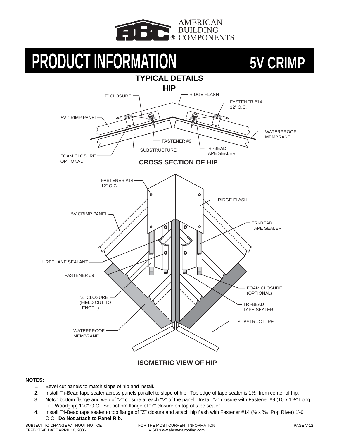





### **ISOMETRIC VIEW OF HIP**

- 1. Bevel cut panels to match slope of hip and install.
- 2. Install Tri-Bead tape sealer across panels parallel to slope of hip. Top edge of tape sealer is 1½" from center of hip.
- 3. Notch bottom flange and web of "Z" closure at each "V" of the panel. Install "Z" closure with Fastener #9 (10 x 1 $\frac{1}{2}$ " Long Life Woodgrip) 1'-0" O.C. Set bottom flange of "Z" closure on top of tape sealer.
- 4. Install Tri-Bead tape sealer to top flange of "Z" closure and attach hip flash with Fastener #14 ( $\frac{1}{8}$  x  $\frac{3}{8}$  Pop Rivet) 1'-0" O.C. **Do Not attach to Panel Rib.**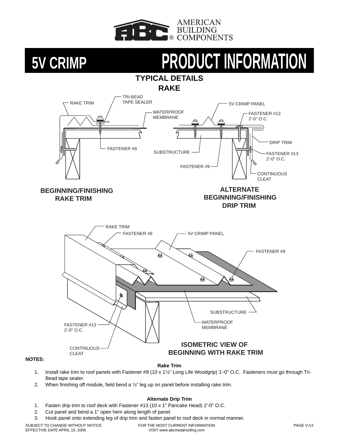



- 1. Install rake trim to roof panels with Fastener #9 (10 x 1½" Long Life Woodgrip) 1'-0" O.C. Fasteners must go through Tri-Bead tape sealer.
- 2. When finishing off module, field bend a  $\frac{1}{2}$ " leg up on panel before installing rake trim.

### **Alternate Drip Trim**

- 1. Fasten drip trim to roof deck with Fastener #13 (10 x 1" Pancake Head) 2'-0" O.C.
- 2. Cut panel and bend a 1" open hem along length of panel.
- 3. Hook panel onto extending leg of drip trim and fasten panel to roof deck in normal manner.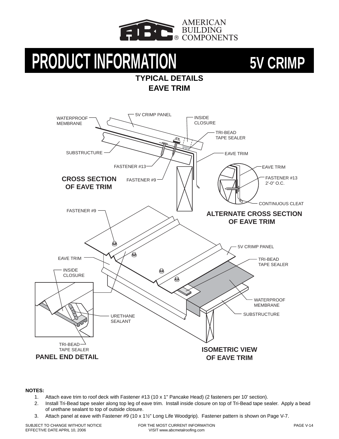

## **TYPICAL DETAILS EAVE TRIM**



### **NOTES:**

- 1. Attach eave trim to roof deck with Fastener #13 (10 x 1" Pancake Head) (2 fasteners per 10' section).
- 2. Install Tri-Bead tape sealer along top leg of eave trim. Install inside closure on top of Tri-Bead tape sealer. Apply a bead of urethane sealant to top of outside closure.
- 3. Attach panel at eave with Fastener #9 (10 x 1 $\frac{1}{2}$ " Long Life Woodgrip). Fastener pattern is shown on Page V-7.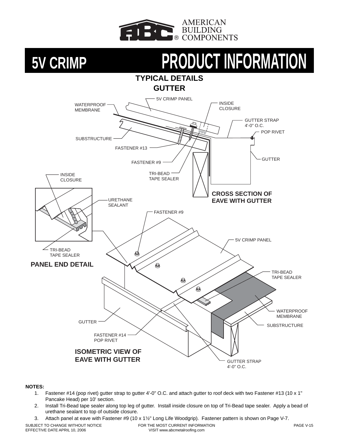



### **NOTES:**

- 1. Fastener #14 (pop rivet) gutter strap to gutter 4'-0" O.C. and attach gutter to roof deck with two Fastener #13 (10 x 1" Pancake Head) per 10' section.
- 2. Install Tri-Bead tape sealer along top leg of gutter. Install inside closure on top of Tri-Bead tape sealer. Apply a bead of urethane sealant to top of outside closure.
- 3. Attach panel at eave with Fastener #9 (10 x 1½" Long Life Woodgrip). Fastener pattern is shown on Page V-7.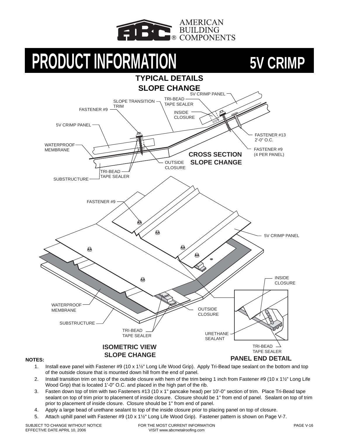





- 1. Install eave panel with Fastener #9 (10 x  $1\frac{1}{2}$ " Long Life Wood Grip). Apply Tri-Bead tape sealant on the bottom and top of the outside closure that is mounted down hill from the end of panel.
- 2. Install transition trim on top of the outside closure with hem of the trim being 1 inch from Fastener #9 (10 x 1 $\frac{1}{2}$ " Long Life Wood Grip) that is located 1'-0" O.C. and placed in the high part of the rib.
- 3. Fasten down top of trim with two Fasteners #13 (10 x 1" pancake head) per 10'-0" section of trim. Place Tri-Bead tape sealant on top of trim prior to placement of inside closure. Closure should be 1" from end of panel. Sealant on top of trim prior to placement of inside closure. Closure should be 1" from end of panel.
- 4. Apply a large bead of urethane sealant to top of the inside closure prior to placing panel on top of closure.
- 5. Attach uphill panel with Fastener #9 (10 x 1 $\frac{1}{2}$ " Long Life Wood Grip). Fastener pattern is shown on Page V-7.